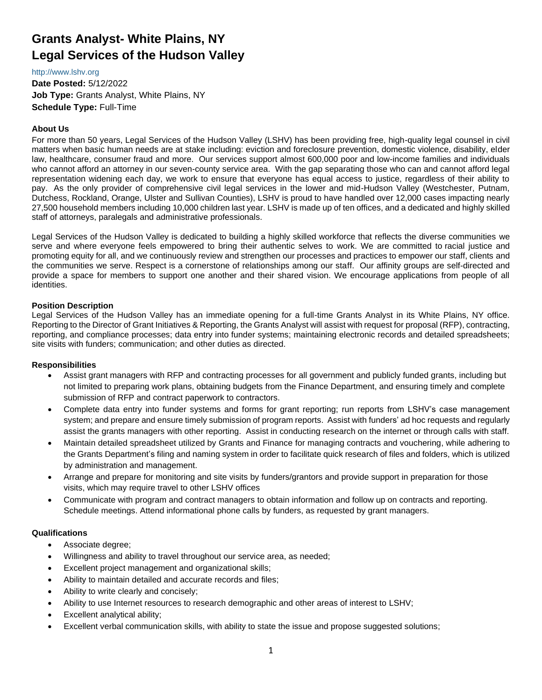# **Grants Analyst- White Plains, NY Legal Services of the Hudson Valley**

#### [http://www.lshv.org](http://www.lshv.org/)

**Date Posted:** 5/12/2022 **Job Type:** Grants Analyst, White Plains, NY **Schedule Type:** Full-Time

# **About Us**

For more than 50 years, Legal Services of the Hudson Valley (LSHV) has been providing free, high-quality legal counsel in civil matters when basic human needs are at stake including: eviction and foreclosure prevention, domestic violence, disability, elder law, healthcare, consumer fraud and more. Our services support almost 600,000 poor and low-income families and individuals who cannot afford an attorney in our seven-county service area. With the gap separating those who can and cannot afford legal representation widening each day, we work to ensure that everyone has equal access to justice, regardless of their ability to pay. As the only provider of comprehensive civil legal services in the lower and mid-Hudson Valley (Westchester, Putnam, Dutchess, Rockland, Orange, Ulster and Sullivan Counties), LSHV is proud to have handled over 12,000 cases impacting nearly 27,500 household members including 10,000 children last year. LSHV is made up of ten offices, and a dedicated and highly skilled staff of attorneys, paralegals and administrative professionals.

Legal Services of the Hudson Valley is dedicated to building a highly skilled workforce that reflects the diverse communities we serve and where everyone feels empowered to bring their authentic selves to work. We are committed to racial justice and promoting equity for all, and we continuously review and strengthen our processes and practices to empower our staff, clients and the communities we serve. Respect is a cornerstone of relationships among our staff. Our affinity groups are self-directed and provide a space for members to support one another and their shared vision. We encourage applications from people of all identities.

## **Position Description**

Legal Services of the Hudson Valley has an immediate opening for a full-time Grants Analyst in its White Plains, NY office. Reporting to the Director of Grant Initiatives & Reporting, the Grants Analyst will assist with request for proposal (RFP), contracting, reporting, and compliance processes; data entry into funder systems; maintaining electronic records and detailed spreadsheets; site visits with funders; communication; and other duties as directed.

# **Responsibilities**

- Assist grant managers with RFP and contracting processes for all government and publicly funded grants, including but not limited to preparing work plans, obtaining budgets from the Finance Department, and ensuring timely and complete submission of RFP and contract paperwork to contractors.
- Complete data entry into funder systems and forms for grant reporting; run reports from LSHV's case management system; and prepare and ensure timely submission of program reports. Assist with funders' ad hoc requests and regularly assist the grants managers with other reporting. Assist in conducting research on the internet or through calls with staff.
- Maintain detailed spreadsheet utilized by Grants and Finance for managing contracts and vouchering, while adhering to the Grants Department's filing and naming system in order to facilitate quick research of files and folders, which is utilized by administration and management.
- Arrange and prepare for monitoring and site visits by funders/grantors and provide support in preparation for those visits, which may require travel to other LSHV offices
- Communicate with program and contract managers to obtain information and follow up on contracts and reporting. Schedule meetings. Attend informational phone calls by funders, as requested by grant managers.

# **Qualifications**

- Associate degree;
- Willingness and ability to travel throughout our service area, as needed;
- Excellent project management and organizational skills;
- Ability to maintain detailed and accurate records and files;
- Ability to write clearly and concisely;
- Ability to use Internet resources to research demographic and other areas of interest to LSHV;
- Excellent analytical ability;
- Excellent verbal communication skills, with ability to state the issue and propose suggested solutions;